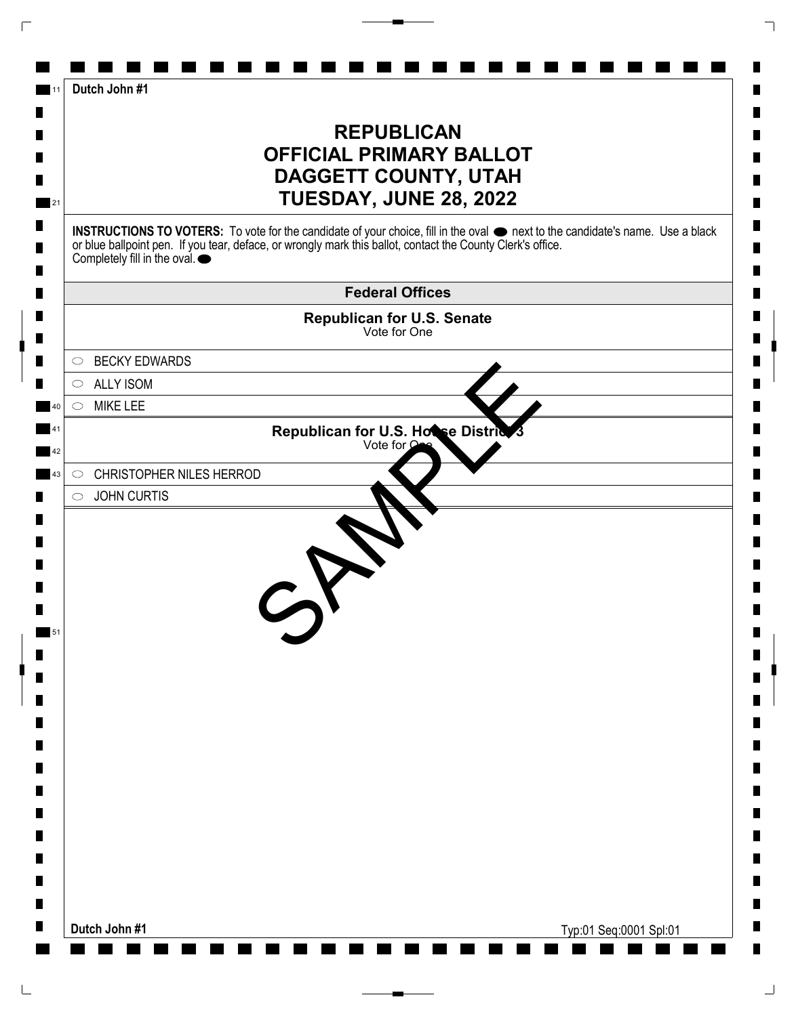| Dutch John #1                                                                                                                                                                                                                                                                                   |
|-------------------------------------------------------------------------------------------------------------------------------------------------------------------------------------------------------------------------------------------------------------------------------------------------|
| <b>REPUBLICAN</b><br><b>OFFICIAL PRIMARY BALLOT</b><br><b>DAGGETT COUNTY, UTAH</b><br>TUESDAY, JUNE 28, 2022                                                                                                                                                                                    |
| INSTRUCTIONS TO VOTERS: To vote for the candidate of your choice, fill in the oval $\bullet$ next to the candidate's name. Use a black<br>or blue ballpoint pen. If you tear, deface, or wrongly mark this ballot, contact the County Clerk's office.<br>Completely fill in the oval. $\bullet$ |
| <b>Federal Offices</b>                                                                                                                                                                                                                                                                          |
| <b>Republican for U.S. Senate</b><br>Vote for One                                                                                                                                                                                                                                               |
| <b>BECKY EDWARDS</b><br>$\circ$                                                                                                                                                                                                                                                                 |
| $\circ$ ALLY ISOM                                                                                                                                                                                                                                                                               |
| <b>MIKE LEE</b><br>$\circ$                                                                                                                                                                                                                                                                      |
| Republican for U.S. Hotse District                                                                                                                                                                                                                                                              |
| <b>CHRISTOPHER NILES HERROD</b><br>$\circ$                                                                                                                                                                                                                                                      |
| <b>JOHN CURTIS</b><br>$\circ$                                                                                                                                                                                                                                                                   |
|                                                                                                                                                                                                                                                                                                 |
| Dutch John #1<br>Typ:01 Seq:0001 Spl:01                                                                                                                                                                                                                                                         |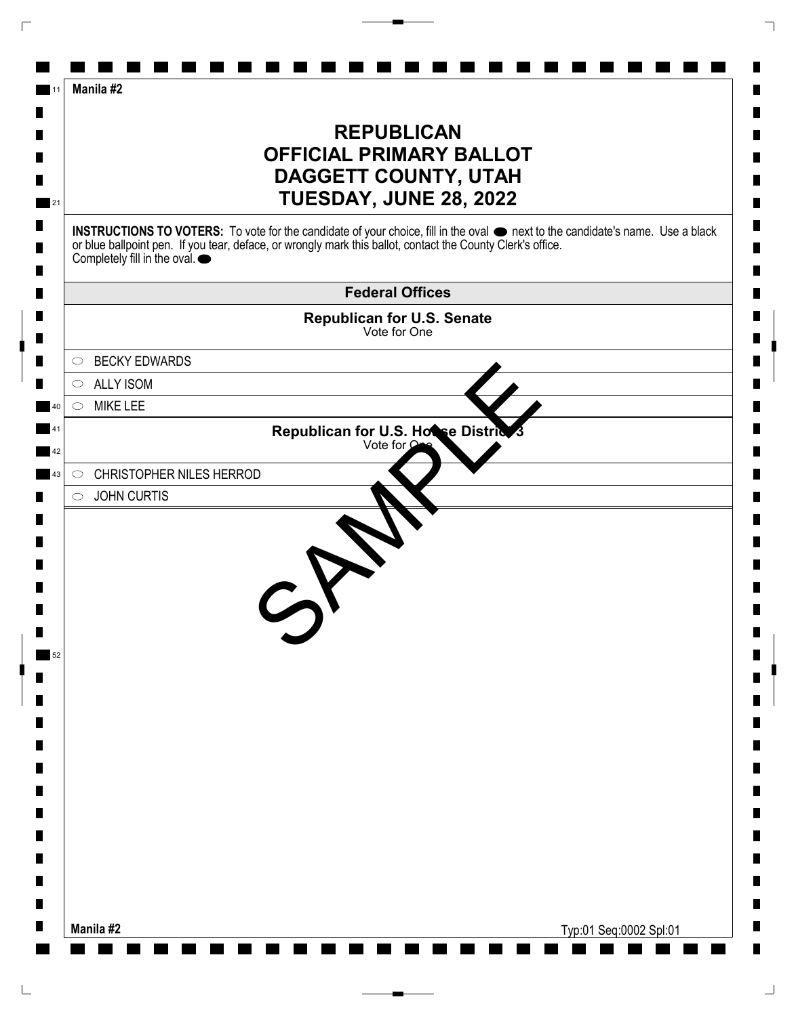| Manila #2                                                                                                                                                                                                                                                                                       |
|-------------------------------------------------------------------------------------------------------------------------------------------------------------------------------------------------------------------------------------------------------------------------------------------------|
| <b>REPUBLICAN</b><br><b>OFFICIAL PRIMARY BALLOT</b><br><b>DAGGETT COUNTY, UTAH</b><br>TUESDAY, JUNE 28, 2022                                                                                                                                                                                    |
| INSTRUCTIONS TO VOTERS: To vote for the candidate of your choice, fill in the oval $\bullet$ next to the candidate's name. Use a black<br>or blue ballpoint pen. If you tear, deface, or wrongly mark this ballot, contact the County Clerk's office.<br>Completely fill in the oval. $\bullet$ |
| <b>Federal Offices</b>                                                                                                                                                                                                                                                                          |
| Republican for U.S. Senate<br>Vote for One                                                                                                                                                                                                                                                      |
| <b>BECKY EDWARDS</b><br>$\circ$                                                                                                                                                                                                                                                                 |
| <b>ALLY ISOM</b><br>$\circ$                                                                                                                                                                                                                                                                     |
| <b>MIKE LEE</b><br>$\circ$                                                                                                                                                                                                                                                                      |
| Republican for U.S. House District<br>Vote for $\Omega$                                                                                                                                                                                                                                         |
| <b>CHRISTOPHER NILES HERROD</b><br>$\circ$                                                                                                                                                                                                                                                      |
| <b>JOHN CURTIS</b><br>$\circ$                                                                                                                                                                                                                                                                   |
|                                                                                                                                                                                                                                                                                                 |